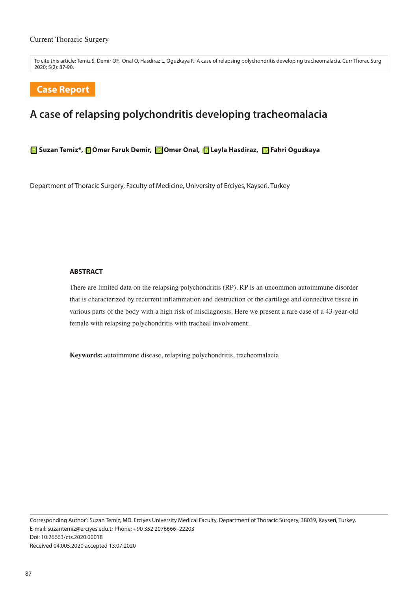To cite this article: Temiz S, Demir OF, Onal O, Hasdiraz L, Oguzkaya F. A case of relapsing polychondritis developing tracheomalacia. Curr Thorac Surg 2020; 5(2): 87-90.

# **Case Report**

# **A case of relapsing polychondritis developing tracheomalacia**

**Suzan Temiz\*, Omer Faruk Demir, Gomer Onal, Gueyla Hasdiraz, Gerahri Oguzkaya** 

Department of Thoracic Surgery, Faculty of Medicine, University of Erciyes, Kayseri, Turkey

#### **ABSTRACT**

There are limited data on the relapsing polychondritis (RP). RP is an uncommon autoimmune disorder that is characterized by recurrent inflammation and destruction of the cartilage and connective tissue in various parts of the body with a high risk of misdiagnosis. Here we present a rare case of a 43-year-old female with relapsing polychondritis with tracheal involvement.

**Keywords:** autoimmune disease, relapsing polychondritis, tracheomalacia

Corresponding Author\* : Suzan Temiz, MD. Erciyes University Medical Faculty, Department of Thoracic Surgery, 38039, Kayseri, Turkey. E-mail: suzantemiz@erciyes.edu.tr Phone: +90 352 2076666 -22203 Doi: 10.26663/cts.2020.00018 Received 04.005.2020 accepted 13.07.2020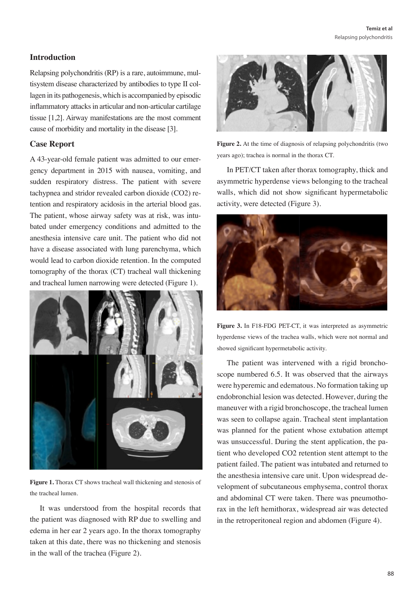## **Introduction**

Relapsing polychondritis (RP) is a rare, autoimmune, multisystem disease characterized by antibodies to type II collagen in its pathogenesis, which is accompanied by episodic inflammatory attacks in articular and non-articular cartilage tissue [1,2]. Airway manifestations are the most comment cause of morbidity and mortality in the disease [3].

#### **Case Report**

A 43-year-old female patient was admitted to our emergency department in 2015 with nausea, vomiting, and sudden respiratory distress. The patient with severe tachypnea and stridor revealed carbon dioxide (CO2) retention and respiratory acidosis in the arterial blood gas. The patient, whose airway safety was at risk, was intubated under emergency conditions and admitted to the anesthesia intensive care unit. The patient who did not have a disease associated with lung parenchyma, which would lead to carbon dioxide retention. In the computed tomography of the thorax (CT) tracheal wall thickening and tracheal lumen narrowing were detected (Figure 1).



**Figure 1.** Thorax CT shows tracheal wall thickening and stenosis of the tracheal lumen.

It was understood from the hospital records that the patient was diagnosed with RP due to swelling and edema in her ear 2 years ago. In the thorax tomography taken at this date, there was no thickening and stenosis in the wall of the trachea (Figure 2).



Figure 2. At the time of diagnosis of relapsing polychondritis (two years ago); trachea is normal in the thorax CT.

In PET/CT taken after thorax tomography, thick and asymmetric hyperdense views belonging to the tracheal walls, which did not show significant hypermetabolic activity, were detected (Figure 3).



**Figure 3.** In F18-FDG PET-CT, it was interpreted as asymmetric hyperdense views of the trachea walls, which were not normal and showed significant hypermetabolic activity.

The patient was intervened with a rigid bronchoscope numbered 6.5. It was observed that the airways were hyperemic and edematous. No formation taking up endobronchial lesion was detected. However, during the maneuver with a rigid bronchoscope, the tracheal lumen was seen to collapse again. Tracheal stent implantation was planned for the patient whose extubation attempt was unsuccessful. During the stent application, the patient who developed CO2 retention stent attempt to the patient failed. The patient was intubated and returned to the anesthesia intensive care unit. Upon widespread development of subcutaneous emphysema, control thorax and abdominal CT were taken. There was pneumothorax in the left hemithorax, widespread air was detected in the retroperitoneal region and abdomen (Figure 4).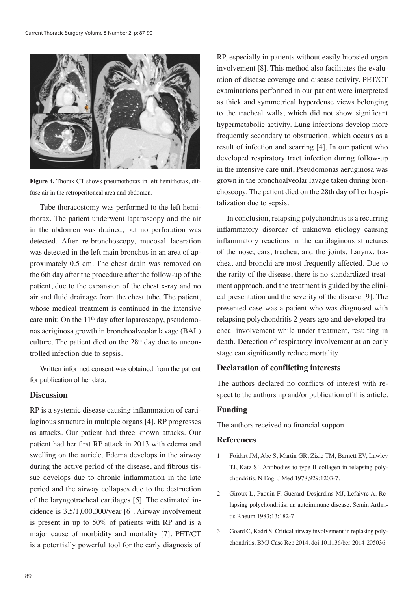

**Figure 4.** Thorax CT shows pneumothorax in left hemithorax, diffuse air in the retroperitoneal area and abdomen.

Tube thoracostomy was performed to the left hemithorax. The patient underwent laparoscopy and the air in the abdomen was drained, but no perforation was detected. After re-bronchoscopy, mucosal laceration was detected in the left main bronchus in an area of approximately 0.5 cm. The chest drain was removed on the 6th day after the procedure after the follow-up of the patient, due to the expansion of the chest x-ray and no air and fluid drainage from the chest tube. The patient, whose medical treatment is continued in the intensive care unit; On the  $11<sup>th</sup>$  day after laparoscopy, pseudomonas aeriginosa growth in bronchoalveolar lavage (BAL) culture. The patient died on the  $28<sup>th</sup>$  day due to uncontrolled infection due to sepsis.

Written informed consent was obtained from the patient for publication of her data.

### **Discussion**

RP is a systemic disease causing inflammation of cartilaginous structure in multiple organs [4]. RP progresses as attacks. Our patient had three known attacks. Our patient had her first RP attack in 2013 with edema and swelling on the auricle. Edema develops in the airway during the active period of the disease, and fibrous tissue develops due to chronic inflammation in the late period and the airway collapses due to the destruction of the laryngotracheal cartilages [5]. The estimated incidence is 3.5/1,000,000/year [6]. Airway involvement is present in up to 50% of patients with RP and is a major cause of morbidity and mortality [7]. PET/CT is a potentially powerful tool for the early diagnosis of RP, especially in patients without easily biopsied organ involvement [8]. This method also facilitates the evaluation of disease coverage and disease activity. PET/CT examinations performed in our patient were interpreted as thick and symmetrical hyperdense views belonging to the tracheal walls, which did not show significant hypermetabolic activity. Lung infections develop more frequently secondary to obstruction, which occurs as a result of infection and scarring [4]. In our patient who developed respiratory tract infection during follow-up in the intensive care unit, Pseudomonas aeruginosa was grown in the bronchoalveolar lavage taken during bronchoscopy. The patient died on the 28th day of her hospitalization due to sepsis.

In conclusion, relapsing polychondritis is a recurring inflammatory disorder of unknown etiology causing inflammatory reactions in the cartilaginous structures of the nose, ears, trachea, and the joints. Larynx, trachea, and bronchi are most frequently affected. Due to the rarity of the disease, there is no standardized treatment approach, and the treatment is guided by the clinical presentation and the severity of the disease [9]. The presented case was a patient who was diagnosed with relapsing polychondritis 2 years ago and developed tracheal involvement while under treatment, resulting in death. Detection of respiratory involvement at an early stage can significantly reduce mortality.

#### **Declaration of conflicting interests**

The authors declared no conflicts of interest with respect to the authorship and/or publication of this article.

#### **Funding**

The authors received no financial support.

#### **References**

- 1. Foidart JM, Abe S, Martin GR, Zizic TM, Barnett EV, Lawley TJ, Katz SI. Antibodies to type II collagen in relapsing polychondritis. N Engl J Med 1978;929:1203-7.
- 2. Giroux L, Paquin F, Guerard-Desjardins MJ, Lefaivre A. Relapsing polychondritis: an autoimmune disease. Semin Arthritis Rheum 1983;13:182-7.
- 3. Goard C, Kadri S. Critical airway involvement in replasing polychondritis. BMJ Case Rep 2014. doi:10.1136/bcr-2014-205036.